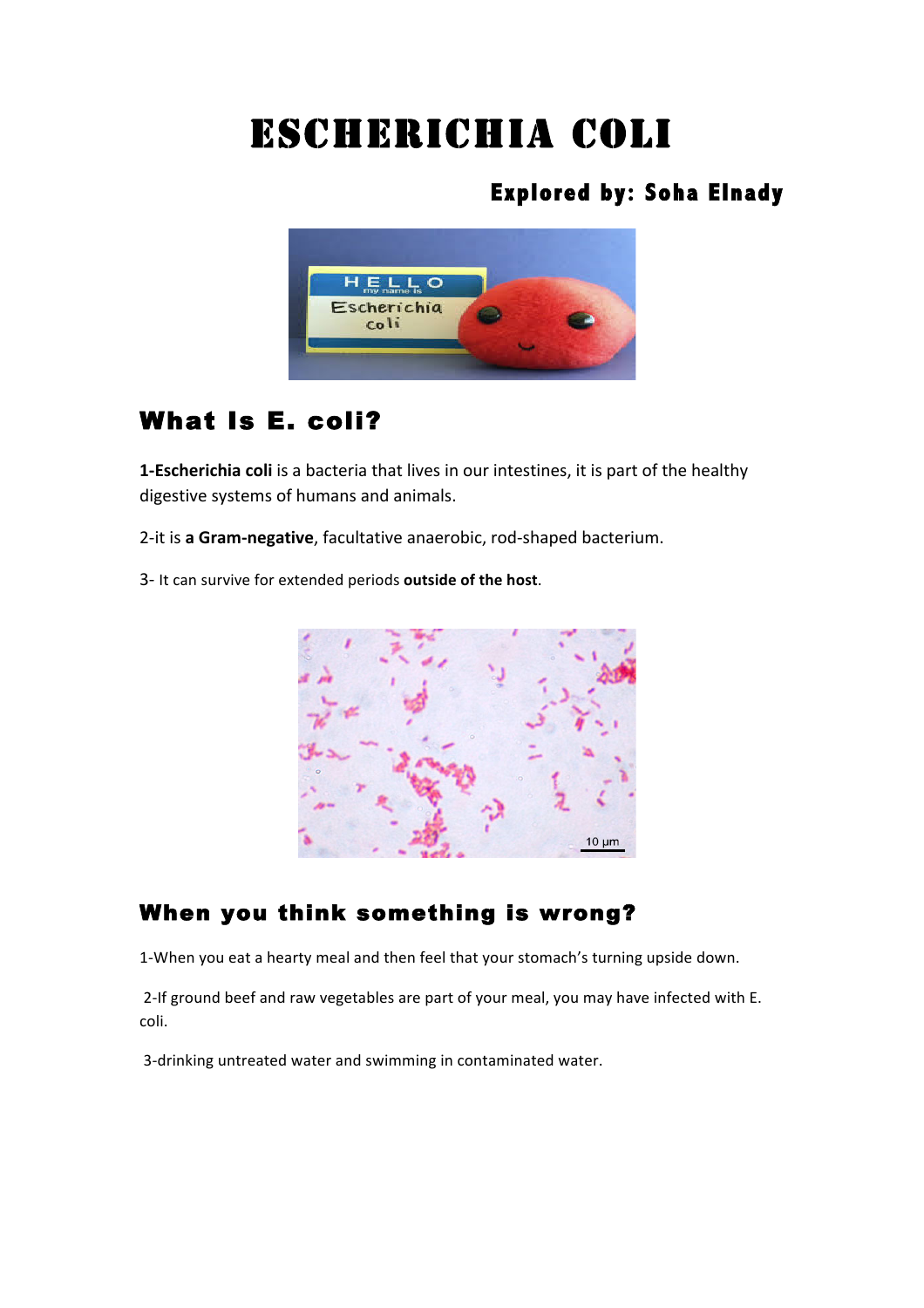# Escherichia coli

# **Explored by: Soha Elnady**



# What Is E. coli?

**1-Escherichia coli** is a bacteria that lives in our intestines, it is part of the healthy digestive systems of humans and animals.

2-it is a Gram-negative, facultative anaerobic, rod-shaped bacterium.

3- It can survive for extended periods **outside of the host**.



## When you think something is wrong?

1-When you eat a hearty meal and then feel that your stomach's turning upside down.

2-If ground beef and raw vegetables are part of your meal, you may have infected with E. coli.

3-drinking untreated water and swimming in contaminated water.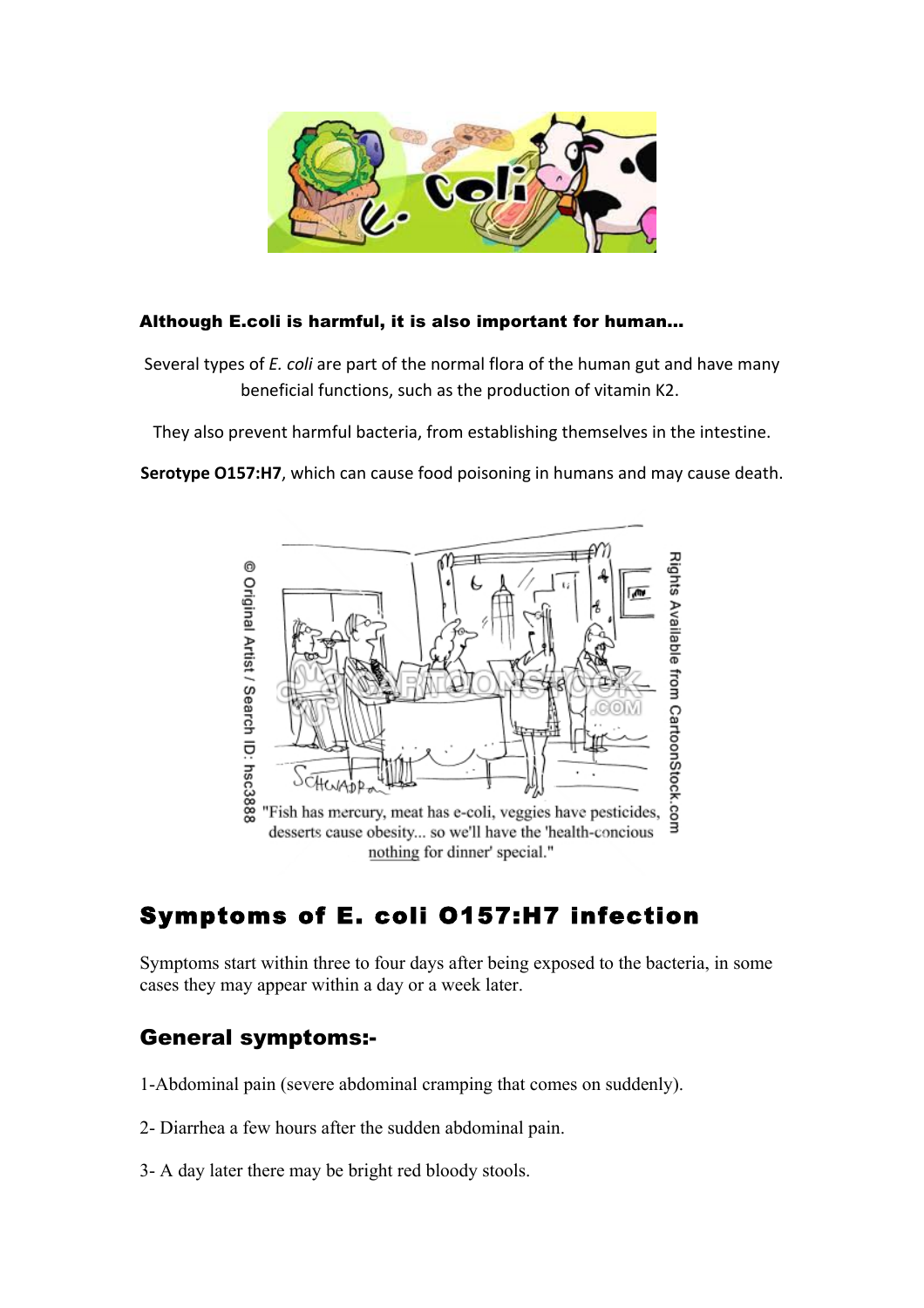

#### Although E.coli is harmful, it is also important for human…

Several types of *E. coli* are part of the normal flora of the human gut and have many beneficial functions, such as the production of vitamin K2.

They also prevent harmful bacteria, from establishing themselves in the intestine.

**Serotype O157:H7**, which can cause food poisoning in humans and may cause death.



# Symptoms of E. coli O157:H7 infection

Symptoms start within three to four days after being exposed to the bacteria, in some cases they may appear within a day or a week later.

## General symptoms:-

- 1-Abdominal pain (severe abdominal cramping that comes on suddenly).
- 2- Diarrhea a few hours after the sudden abdominal pain.
- 3- A day later there may be bright red bloody stools.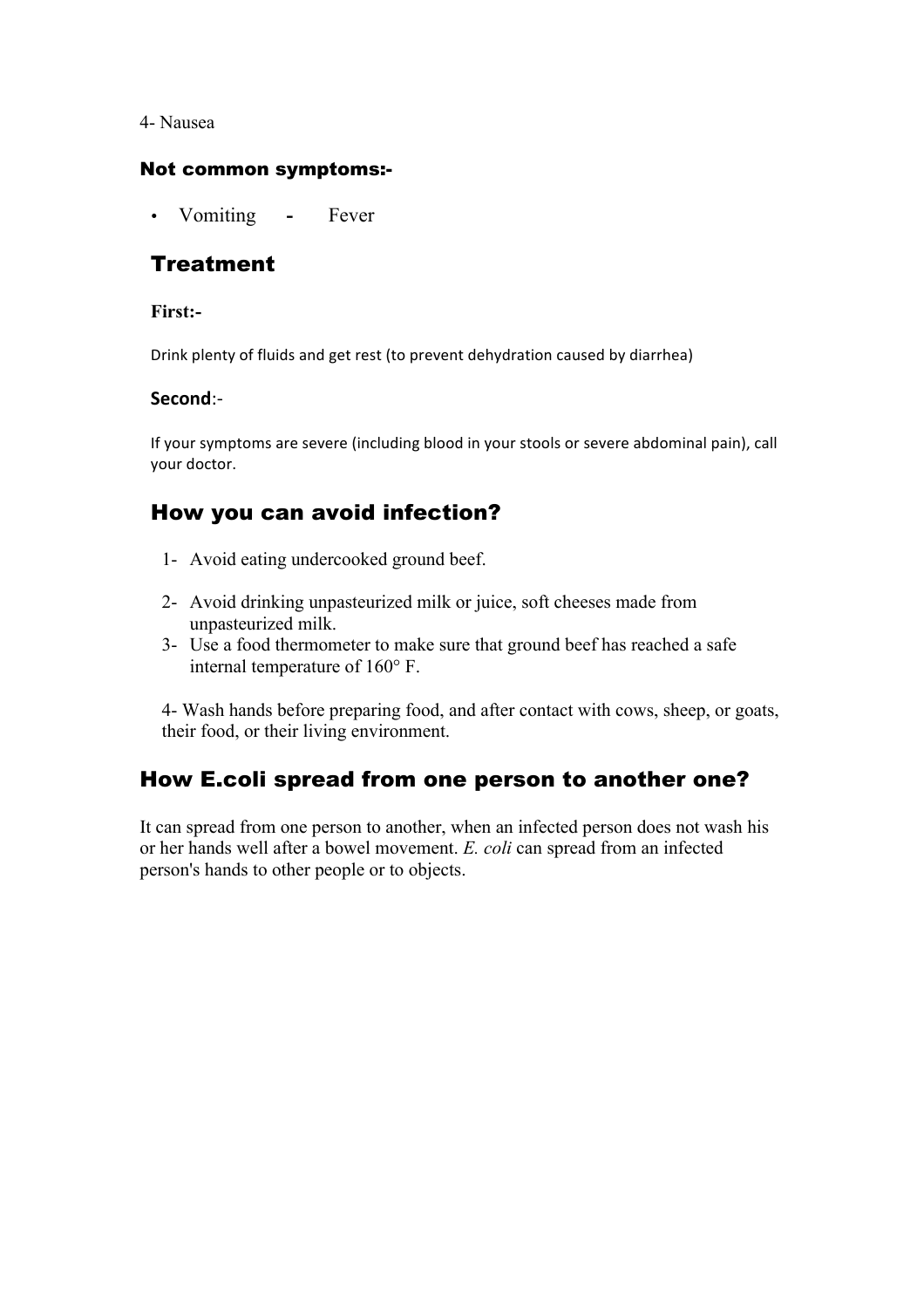4- Nausea

#### Not common symptoms:-

• Vomiting **-** Fever

### **Treatment**

#### **First:-**

Drink plenty of fluids and get rest (to prevent dehydration caused by diarrhea)

#### **Second**:-

If your symptoms are severe (including blood in your stools or severe abdominal pain), call vour doctor.

## How you can avoid infection?

- 1- Avoid eating undercooked ground beef.
- 2- Avoid drinking unpasteurized milk or juice, soft cheeses made from unpasteurized milk.
- 3- Use a food thermometer to make sure that ground beef has reached a safe internal temperature of 160° F.

4- Wash hands before preparing food, and after contact with cows, sheep, or goats, their food, or their living environment.

## How E.coli spread from one person to another one?

It can spread from one person to another, when an infected person does not wash his or her hands well after a bowel movement. *E. coli* can spread from an infected person's hands to other people or to objects.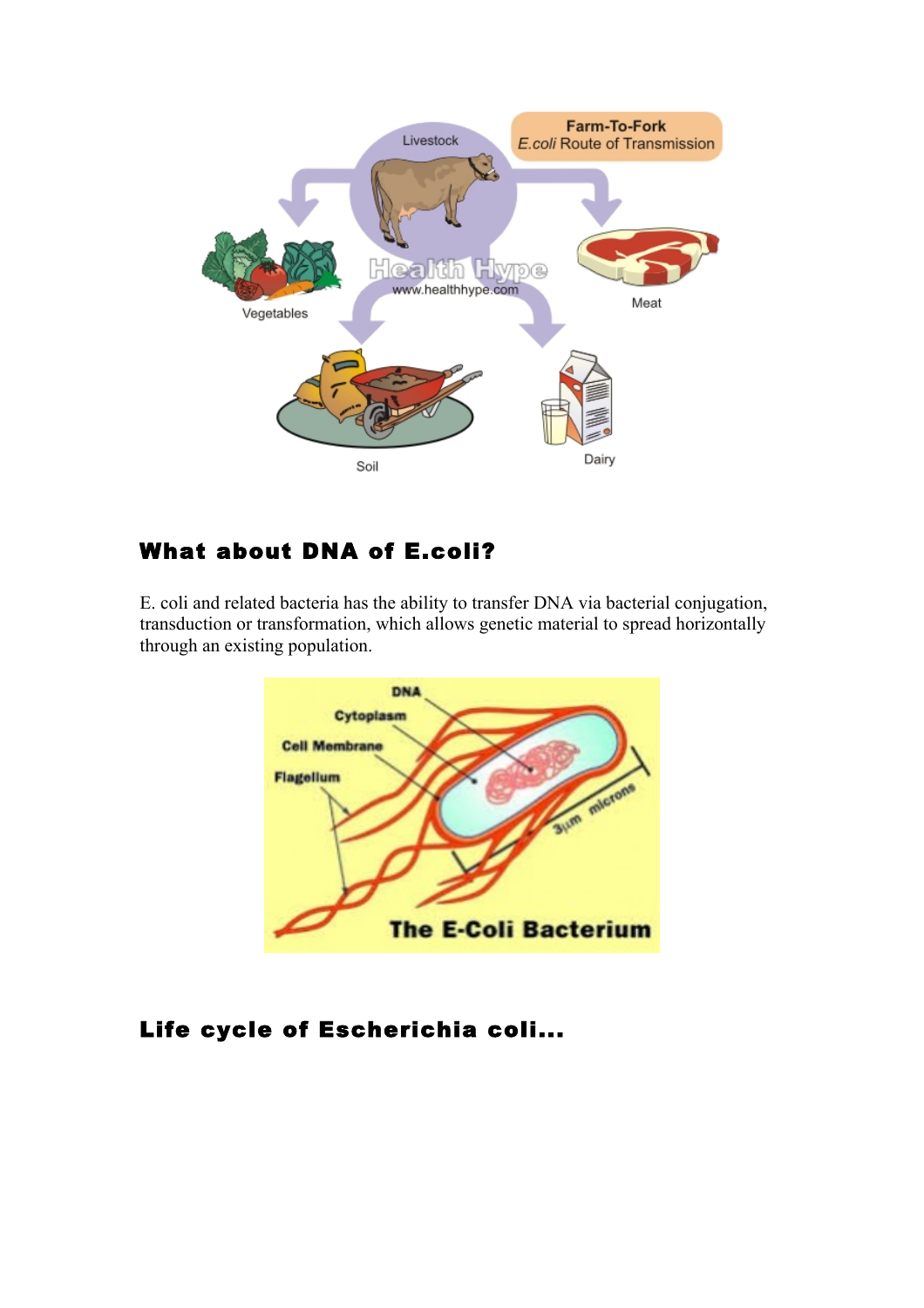

## What about DNA of E.coli?

E. coli and related bacteria has the ability to transfer DNA via bacterial conjugation, transduction or transformation, which allows genetic material to spread horizontally through an existing population.



## Life cycle of Escherichia coli...